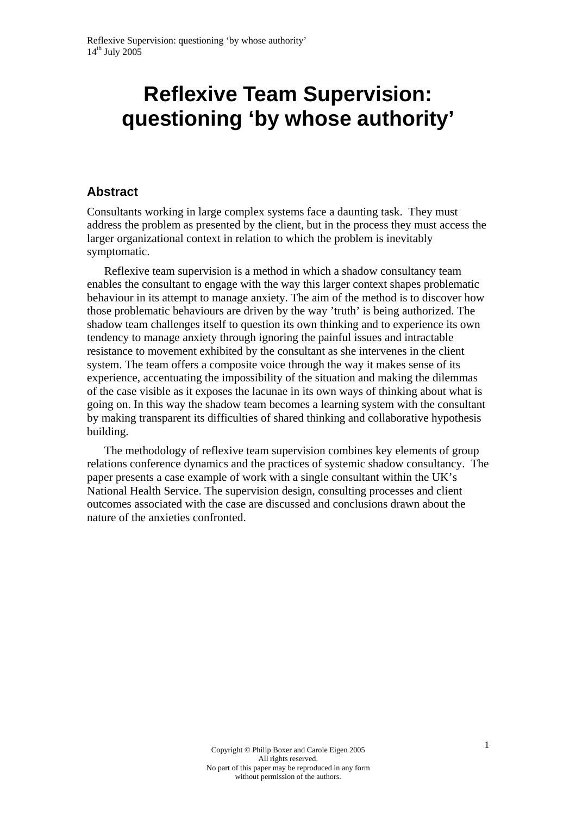# **Reflexive Team Supervision: questioning 'by whose authority'**

#### **Abstract**

Consultants working in large complex systems face a daunting task. They must address the problem as presented by the client, but in the process they must access the larger organizational context in relation to which the problem is inevitably symptomatic.

Reflexive team supervision is a method in which a shadow consultancy team enables the consultant to engage with the way this larger context shapes problematic behaviour in its attempt to manage anxiety. The aim of the method is to discover how those problematic behaviours are driven by the way 'truth' is being authorized. The shadow team challenges itself to question its own thinking and to experience its own tendency to manage anxiety through ignoring the painful issues and intractable resistance to movement exhibited by the consultant as she intervenes in the client system. The team offers a composite voice through the way it makes sense of its experience, accentuating the impossibility of the situation and making the dilemmas of the case visible as it exposes the lacunae in its own ways of thinking about what is going on. In this way the shadow team becomes a learning system with the consultant by making transparent its difficulties of shared thinking and collaborative hypothesis building.

The methodology of reflexive team supervision combines key elements of group relations conference dynamics and the practices of systemic shadow consultancy. The paper presents a case example of work with a single consultant within the UK's National Health Service. The supervision design, consulting processes and client outcomes associated with the case are discussed and conclusions drawn about the nature of the anxieties confronted.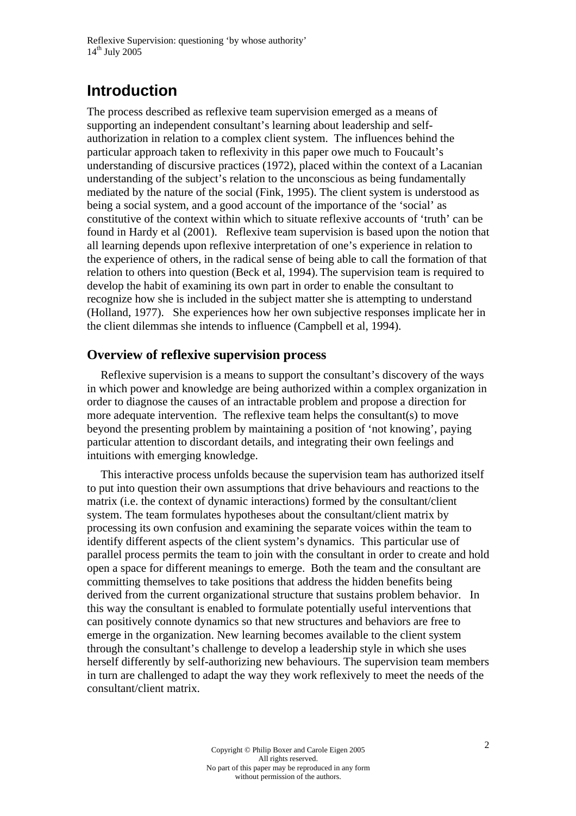# **Introduction**

The process described as reflexive team supervision emerged as a means of supporting an independent consultant's learning about leadership and selfauthorization in relation to a complex client system. The influences behind the particular approach taken to reflexivity in this paper owe much to Foucault's understanding of discursive practices (1972), placed within the context of a Lacanian understanding of the subject's relation to the unconscious as being fundamentally mediated by the nature of the social (Fink, 1995). The client system is understood as being a social system, and a good account of the importance of the 'social' as constitutive of the context within which to situate reflexive accounts of 'truth' can be found in Hardy et al (2001). Reflexive team supervision is based upon the notion that all learning depends upon reflexive interpretation of one's experience in relation to the experience of others, in the radical sense of being able to call the formation of that relation to others into question (Beck et al, 1994). The supervision team is required to develop the habit of examining its own part in order to enable the consultant to recognize how she is included in the subject matter she is attempting to understand (Holland, 1977). She experiences how her own subjective responses implicate her in the client dilemmas she intends to influence (Campbell et al, 1994).

#### **Overview of reflexive supervision process**

Reflexive supervision is a means to support the consultant's discovery of the ways in which power and knowledge are being authorized within a complex organization in order to diagnose the causes of an intractable problem and propose a direction for more adequate intervention. The reflexive team helps the consultant(s) to move beyond the presenting problem by maintaining a position of 'not knowing', paying particular attention to discordant details, and integrating their own feelings and intuitions with emerging knowledge.

This interactive process unfolds because the supervision team has authorized itself to put into question their own assumptions that drive behaviours and reactions to the matrix (i.e. the context of dynamic interactions) formed by the consultant/client system. The team formulates hypotheses about the consultant/client matrix by processing its own confusion and examining the separate voices within the team to identify different aspects of the client system's dynamics. This particular use of parallel process permits the team to join with the consultant in order to create and hold open a space for different meanings to emerge. Both the team and the consultant are committing themselves to take positions that address the hidden benefits being derived from the current organizational structure that sustains problem behavior. In this way the consultant is enabled to formulate potentially useful interventions that can positively connote dynamics so that new structures and behaviors are free to emerge in the organization. New learning becomes available to the client system through the consultant's challenge to develop a leadership style in which she uses herself differently by self-authorizing new behaviours. The supervision team members in turn are challenged to adapt the way they work reflexively to meet the needs of the consultant/client matrix.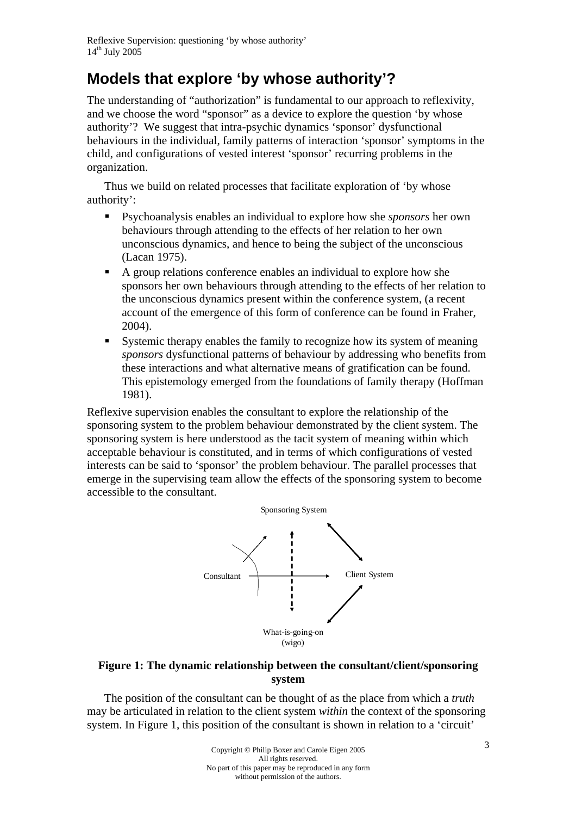# **Models that explore 'by whose authority'?**

The understanding of "authorization" is fundamental to our approach to reflexivity, and we choose the word "sponsor" as a device to explore the question 'by whose authority'? We suggest that intra-psychic dynamics 'sponsor' dysfunctional behaviours in the individual, family patterns of interaction 'sponsor' symptoms in the child, and configurations of vested interest 'sponsor' recurring problems in the organization.

Thus we build on related processes that facilitate exploration of 'by whose authority':

- Psychoanalysis enables an individual to explore how she *sponsors* her own behaviours through attending to the effects of her relation to her own unconscious dynamics, and hence to being the subject of the unconscious (Lacan 1975).
- A group relations conference enables an individual to explore how she sponsors her own behaviours through attending to the effects of her relation to the unconscious dynamics present within the conference system, (a recent account of the emergence of this form of conference can be found in Fraher, 2004).
- Systemic therapy enables the family to recognize how its system of meaning *sponsors* dysfunctional patterns of behaviour by addressing who benefits from these interactions and what alternative means of gratification can be found. This epistemology emerged from the foundations of family therapy (Hoffman 1981).

Reflexive supervision enables the consultant to explore the relationship of the sponsoring system to the problem behaviour demonstrated by the client system. The sponsoring system is here understood as the tacit system of meaning within which acceptable behaviour is constituted, and in terms of which configurations of vested interests can be said to 'sponsor' the problem behaviour. The parallel processes that emerge in the supervising team allow the effects of the sponsoring system to become accessible to the consultant.



#### **Figure 1: The dynamic relationship between the consultant/client/sponsoring system**

The position of the consultant can be thought of as the place from which a *truth*  may be articulated in relation to the client system *within* the context of the sponsoring system. In Figure 1, this position of the consultant is shown in relation to a 'circuit'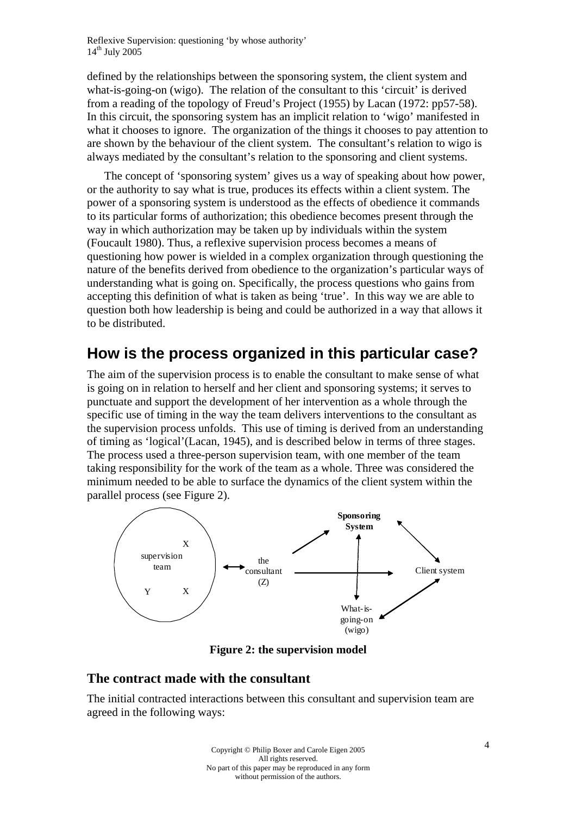defined by the relationships between the sponsoring system, the client system and what-is-going-on (wigo). The relation of the consultant to this 'circuit' is derived from a reading of the topology of Freud's Project (1955) by Lacan (1972: pp57-58). In this circuit, the sponsoring system has an implicit relation to 'wigo' manifested in what it chooses to ignore. The organization of the things it chooses to pay attention to are shown by the behaviour of the client system. The consultant's relation to wigo is always mediated by the consultant's relation to the sponsoring and client systems.

The concept of 'sponsoring system' gives us a way of speaking about how power, or the authority to say what is true, produces its effects within a client system. The power of a sponsoring system is understood as the effects of obedience it commands to its particular forms of authorization; this obedience becomes present through the way in which authorization may be taken up by individuals within the system (Foucault 1980). Thus, a reflexive supervision process becomes a means of questioning how power is wielded in a complex organization through questioning the nature of the benefits derived from obedience to the organization's particular ways of understanding what is going on. Specifically, the process questions who gains from accepting this definition of what is taken as being 'true'. In this way we are able to question both how leadership is being and could be authorized in a way that allows it to be distributed.

### **How is the process organized in this particular case?**

The aim of the supervision process is to enable the consultant to make sense of what is going on in relation to herself and her client and sponsoring systems; it serves to punctuate and support the development of her intervention as a whole through the specific use of timing in the way the team delivers interventions to the consultant as the supervision process unfolds. This use of timing is derived from an understanding of timing as 'logical'(Lacan, 1945), and is described below in terms of three stages. The process used a three-person supervision team, with one member of the team taking responsibility for the work of the team as a whole. Three was considered the minimum needed to be able to surface the dynamics of the client system within the parallel process (see Figure 2).



**Figure 2: the supervision model** 

#### **The contract made with the consultant**

The initial contracted interactions between this consultant and supervision team are agreed in the following ways: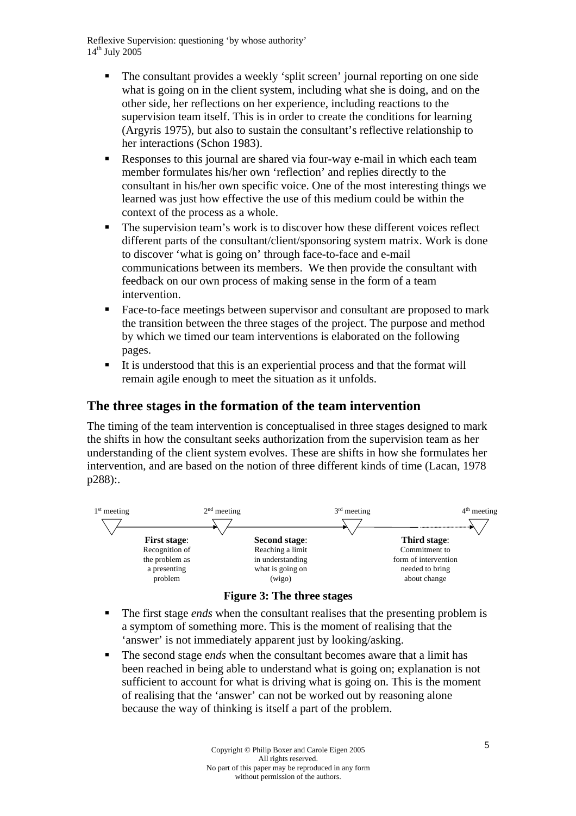- The consultant provides a weekly 'split screen' journal reporting on one side what is going on in the client system, including what she is doing, and on the other side, her reflections on her experience, including reactions to the supervision team itself. This is in order to create the conditions for learning (Argyris 1975), but also to sustain the consultant's reflective relationship to her interactions (Schon 1983).
- Responses to this journal are shared via four-way e-mail in which each team member formulates his/her own 'reflection' and replies directly to the consultant in his/her own specific voice. One of the most interesting things we learned was just how effective the use of this medium could be within the context of the process as a whole.
- The supervision team's work is to discover how these different voices reflect different parts of the consultant/client/sponsoring system matrix. Work is done to discover 'what is going on' through face-to-face and e-mail communications between its members. We then provide the consultant with feedback on our own process of making sense in the form of a team intervention.
- Face-to-face meetings between supervisor and consultant are proposed to mark the transition between the three stages of the project. The purpose and method by which we timed our team interventions is elaborated on the following pages.
- It is understood that this is an experiential process and that the format will remain agile enough to meet the situation as it unfolds.

#### **The three stages in the formation of the team intervention**

The timing of the team intervention is conceptualised in three stages designed to mark the shifts in how the consultant seeks authorization from the supervision team as her understanding of the client system evolves. These are shifts in how she formulates her intervention, and are based on the notion of three different kinds of time (Lacan, 1978 p288):.





- The first stage *ends* when the consultant realises that the presenting problem is a symptom of something more. This is the moment of realising that the 'answer' is not immediately apparent just by looking/asking.
- The second stage e*nds* when the consultant becomes aware that a limit has been reached in being able to understand what is going on; explanation is not sufficient to account for what is driving what is going on. This is the moment of realising that the 'answer' can not be worked out by reasoning alone because the way of thinking is itself a part of the problem.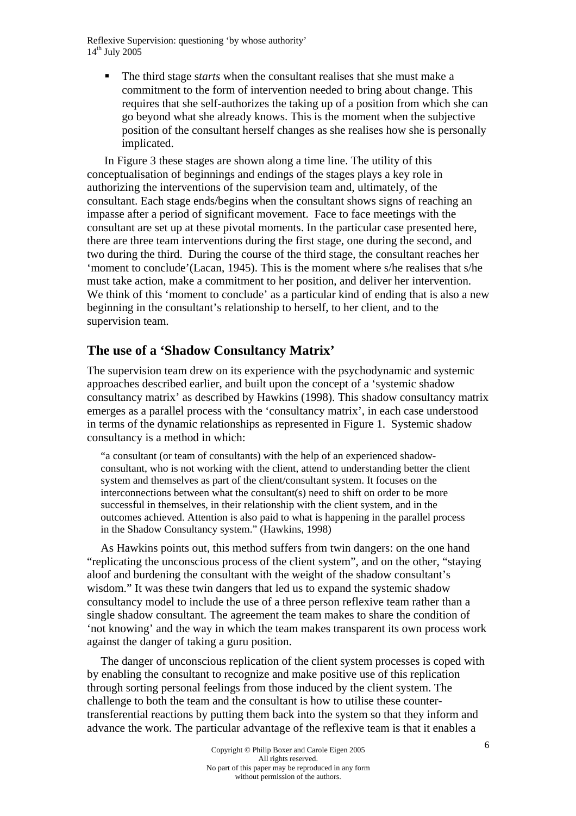The third stage s*tarts* when the consultant realises that she must make a commitment to the form of intervention needed to bring about change. This requires that she self-authorizes the taking up of a position from which she can go beyond what she already knows. This is the moment when the subjective position of the consultant herself changes as she realises how she is personally implicated.

In Figure 3 these stages are shown along a time line. The utility of this conceptualisation of beginnings and endings of the stages plays a key role in authorizing the interventions of the supervision team and, ultimately, of the consultant. Each stage ends/begins when the consultant shows signs of reaching an impasse after a period of significant movement. Face to face meetings with the consultant are set up at these pivotal moments. In the particular case presented here, there are three team interventions during the first stage, one during the second, and two during the third. During the course of the third stage, the consultant reaches her 'moment to conclude'(Lacan, 1945). This is the moment where s/he realises that s/he must take action, make a commitment to her position, and deliver her intervention. We think of this 'moment to conclude' as a particular kind of ending that is also a new beginning in the consultant's relationship to herself, to her client, and to the supervision team.

#### **The use of a 'Shadow Consultancy Matrix'**

The supervision team drew on its experience with the psychodynamic and systemic approaches described earlier, and built upon the concept of a 'systemic shadow consultancy matrix' as described by Hawkins (1998). This shadow consultancy matrix emerges as a parallel process with the 'consultancy matrix', in each case understood in terms of the dynamic relationships as represented in Figure 1. Systemic shadow consultancy is a method in which:

"a consultant (or team of consultants) with the help of an experienced shadowconsultant, who is not working with the client, attend to understanding better the client system and themselves as part of the client/consultant system. It focuses on the interconnections between what the consultant(s) need to shift on order to be more successful in themselves, in their relationship with the client system, and in the outcomes achieved. Attention is also paid to what is happening in the parallel process in the Shadow Consultancy system." (Hawkins, 1998)

As Hawkins points out, this method suffers from twin dangers: on the one hand "replicating the unconscious process of the client system", and on the other, "staying aloof and burdening the consultant with the weight of the shadow consultant's wisdom." It was these twin dangers that led us to expand the systemic shadow consultancy model to include the use of a three person reflexive team rather than a single shadow consultant. The agreement the team makes to share the condition of 'not knowing' and the way in which the team makes transparent its own process work against the danger of taking a guru position.

The danger of unconscious replication of the client system processes is coped with by enabling the consultant to recognize and make positive use of this replication through sorting personal feelings from those induced by the client system. The challenge to both the team and the consultant is how to utilise these countertransferential reactions by putting them back into the system so that they inform and advance the work. The particular advantage of the reflexive team is that it enables a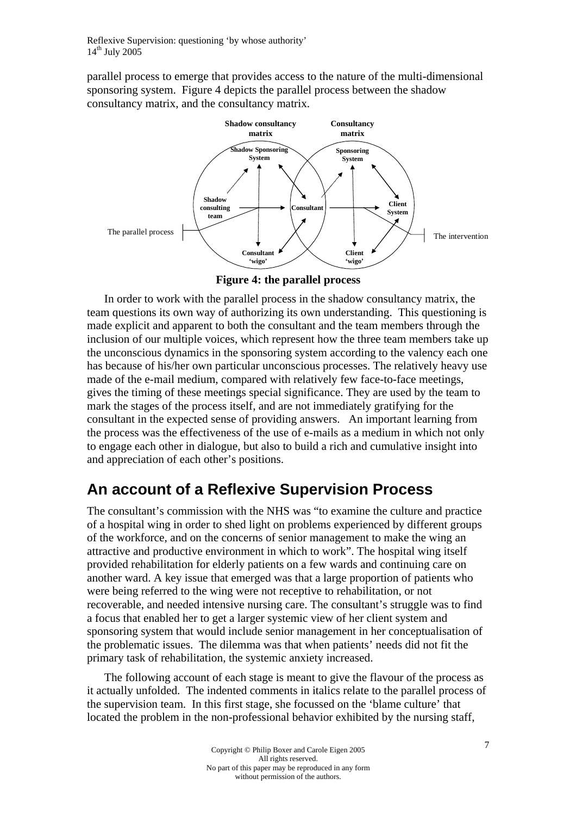parallel process to emerge that provides access to the nature of the multi-dimensional sponsoring system. Figure 4 depicts the parallel process between the shadow consultancy matrix, and the consultancy matrix.



**Figure 4: the parallel process** 

In order to work with the parallel process in the shadow consultancy matrix, the team questions its own way of authorizing its own understanding. This questioning is made explicit and apparent to both the consultant and the team members through the inclusion of our multiple voices, which represent how the three team members take up the unconscious dynamics in the sponsoring system according to the valency each one has because of his/her own particular unconscious processes. The relatively heavy use made of the e-mail medium, compared with relatively few face-to-face meetings, gives the timing of these meetings special significance. They are used by the team to mark the stages of the process itself, and are not immediately gratifying for the consultant in the expected sense of providing answers. An important learning from the process was the effectiveness of the use of e-mails as a medium in which not only to engage each other in dialogue, but also to build a rich and cumulative insight into and appreciation of each other's positions.

# **An account of a Reflexive Supervision Process**

The consultant's commission with the NHS was "to examine the culture and practice of a hospital wing in order to shed light on problems experienced by different groups of the workforce, and on the concerns of senior management to make the wing an attractive and productive environment in which to work". The hospital wing itself provided rehabilitation for elderly patients on a few wards and continuing care on another ward. A key issue that emerged was that a large proportion of patients who were being referred to the wing were not receptive to rehabilitation, or not recoverable, and needed intensive nursing care. The consultant's struggle was to find a focus that enabled her to get a larger systemic view of her client system and sponsoring system that would include senior management in her conceptualisation of the problematic issues. The dilemma was that when patients' needs did not fit the primary task of rehabilitation, the systemic anxiety increased.

The following account of each stage is meant to give the flavour of the process as it actually unfolded. The indented comments in italics relate to the parallel process of the supervision team. In this first stage, she focussed on the 'blame culture' that located the problem in the non-professional behavior exhibited by the nursing staff,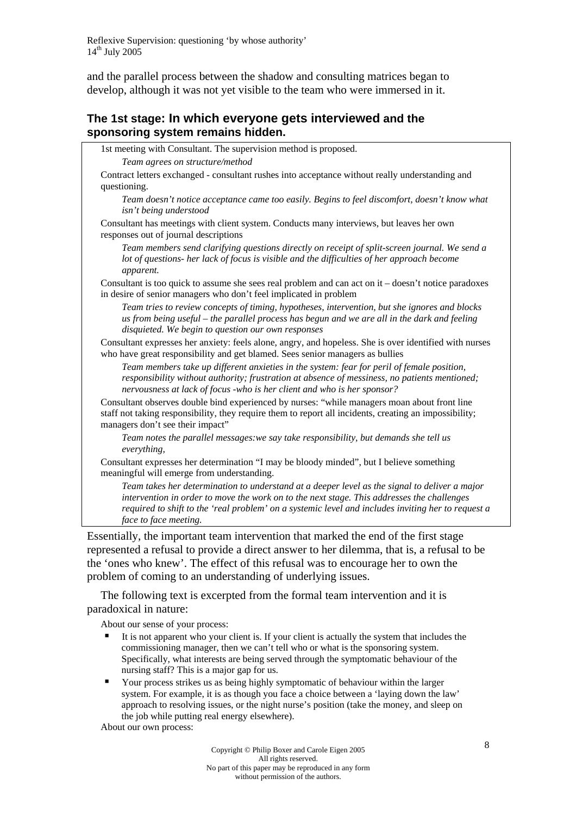and the parallel process between the shadow and consulting matrices began to develop, although it was not yet visible to the team who were immersed in it.

#### **The 1st stage: In which everyone gets interviewed and the sponsoring system remains hidden.**

1st meeting with Consultant. The supervision method is proposed.

*Team agrees on structure/method* 

Contract letters exchanged - consultant rushes into acceptance without really understanding and questioning.

*Team doesn't notice acceptance came too easily. Begins to feel discomfort, doesn't know what isn't being understood* 

Consultant has meetings with client system. Conducts many interviews, but leaves her own responses out of journal descriptions

*Team members send clarifying questions directly on receipt of split-screen journal. We send a lot of questions- her lack of focus is visible and the difficulties of her approach become apparent.* 

Consultant is too quick to assume she sees real problem and can act on it – doesn't notice paradoxes in desire of senior managers who don't feel implicated in problem

*Team tries to review concepts of timing, hypotheses, intervention, but she ignores and blocks us from being useful – the parallel process has begun and we are all in the dark and feeling disquieted. We begin to question our own responses* 

Consultant expresses her anxiety: feels alone, angry, and hopeless. She is over identified with nurses who have great responsibility and get blamed. Sees senior managers as bullies

*Team members take up different anxieties in the system: fear for peril of female position, responsibility without authority; frustration at absence of messiness, no patients mentioned; nervousness at lack of focus -who is her client and who is her sponsor?* 

Consultant observes double bind experienced by nurses: "while managers moan about front line staff not taking responsibility, they require them to report all incidents, creating an impossibility; managers don't see their impact"

*Team notes the parallel messages:we say take responsibility, but demands she tell us everything,* 

Consultant expresses her determination "I may be bloody minded", but I believe something meaningful will emerge from understanding.

*Team takes her determination to understand at a deeper level as the signal to deliver a major intervention in order to move the work on to the next stage. This addresses the challenges required to shift to the 'real problem' on a systemic level and includes inviting her to request a face to face meeting.*

Essentially, the important team intervention that marked the end of the first stage represented a refusal to provide a direct answer to her dilemma, that is, a refusal to be the 'ones who knew'. The effect of this refusal was to encourage her to own the problem of coming to an understanding of underlying issues.

The following text is excerpted from the formal team intervention and it is paradoxical in nature:

About our sense of your process:

- It is not apparent who your client is. If your client is actually the system that includes the commissioning manager, then we can't tell who or what is the sponsoring system. Specifically, what interests are being served through the symptomatic behaviour of the nursing staff? This is a major gap for us.
- Your process strikes us as being highly symptomatic of behaviour within the larger system. For example, it is as though you face a choice between a 'laying down the law' approach to resolving issues, or the night nurse's position (take the money, and sleep on the job while putting real energy elsewhere).

About our own process: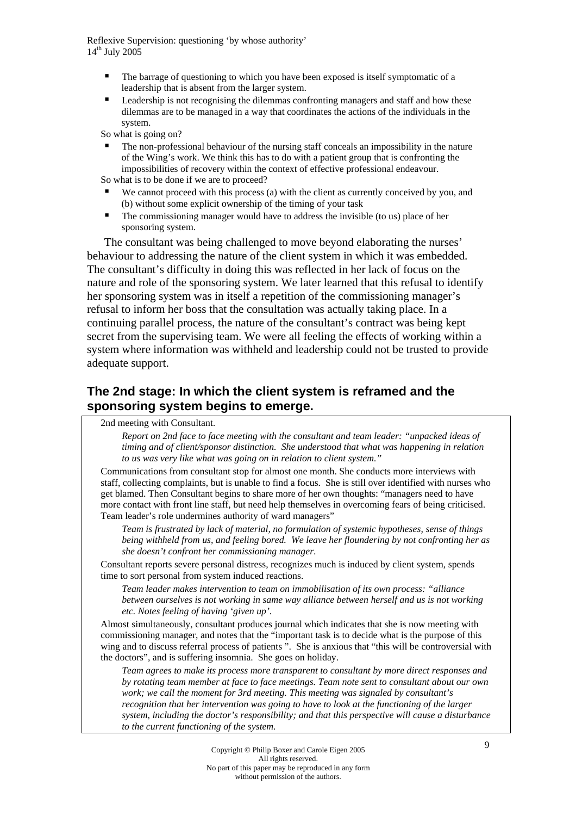- The barrage of questioning to which you have been exposed is itself symptomatic of a leadership that is absent from the larger system.
- Leadership is not recognising the dilemmas confronting managers and staff and how these dilemmas are to be managed in a way that coordinates the actions of the individuals in the system.

So what is going on?

 The non-professional behaviour of the nursing staff conceals an impossibility in the nature of the Wing's work. We think this has to do with a patient group that is confronting the impossibilities of recovery within the context of effective professional endeavour.

So what is to be done if we are to proceed?

- We cannot proceed with this process (a) with the client as currently conceived by you, and (b) without some explicit ownership of the timing of your task
- The commissioning manager would have to address the invisible (to us) place of her sponsoring system.

The consultant was being challenged to move beyond elaborating the nurses' behaviour to addressing the nature of the client system in which it was embedded. The consultant's difficulty in doing this was reflected in her lack of focus on the nature and role of the sponsoring system. We later learned that this refusal to identify her sponsoring system was in itself a repetition of the commissioning manager's refusal to inform her boss that the consultation was actually taking place. In a continuing parallel process, the nature of the consultant's contract was being kept secret from the supervising team. We were all feeling the effects of working within a system where information was withheld and leadership could not be trusted to provide adequate support.

#### **The 2nd stage: In which the client system is reframed and the sponsoring system begins to emerge.**

2nd meeting with Consultant.

*Report on 2nd face to face meeting with the consultant and team leader: "unpacked ideas of timing and of client/sponsor distinction. She understood that what was happening in relation to us was very like what was going on in relation to client system."* 

Communications from consultant stop for almost one month. She conducts more interviews with staff, collecting complaints, but is unable to find a focus. She is still over identified with nurses who get blamed. Then Consultant begins to share more of her own thoughts: "managers need to have more contact with front line staff, but need help themselves in overcoming fears of being criticised. Team leader's role undermines authority of ward managers"

*Team is frustrated by lack of material, no formulation of systemic hypotheses, sense of things being withheld from us, and feeling bored. We leave her floundering by not confronting her as she doesn't confront her commissioning manager*.

Consultant reports severe personal distress, recognizes much is induced by client system, spends time to sort personal from system induced reactions.

*Team leader makes intervention to team on immobilisation of its own process: "alliance between ourselves is not working in same way alliance between herself and us is not working etc. Notes feeling of having 'given up'.* 

Almost simultaneously, consultant produces journal which indicates that she is now meeting with commissioning manager, and notes that the "important task is to decide what is the purpose of this wing and to discuss referral process of patients  $\cdot$ . She is anxious that "this will be controversial with the doctors", and is suffering insomnia. She goes on holiday.

*Team agrees to make its process more transparent to consultant by more direct responses and by rotating team member at face to face meetings. Team note sent to consultant about our own work; we call the moment for 3rd meeting. This meeting was signaled by consultant's recognition that her intervention was going to have to look at the functioning of the larger system, including the doctor's responsibility; and that this perspective will cause a disturbance to the current functioning of the system.*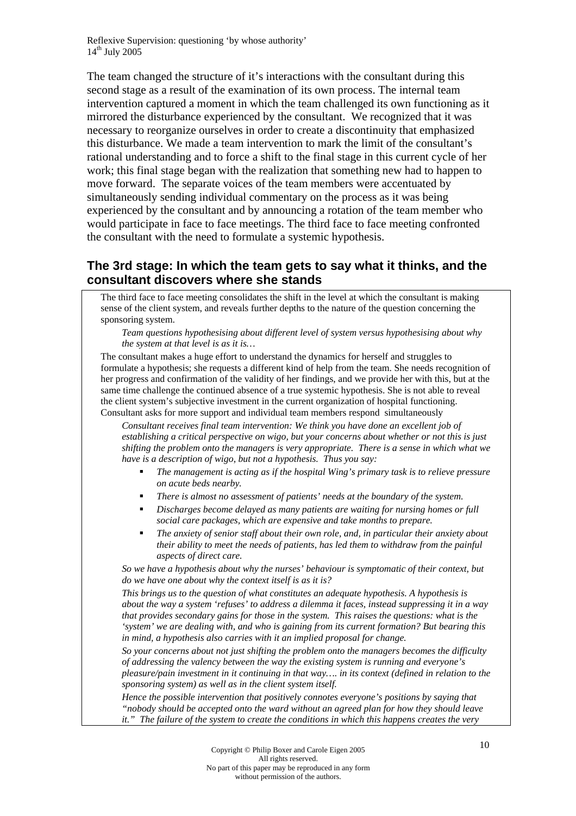The team changed the structure of it's interactions with the consultant during this second stage as a result of the examination of its own process. The internal team intervention captured a moment in which the team challenged its own functioning as it mirrored the disturbance experienced by the consultant. We recognized that it was necessary to reorganize ourselves in order to create a discontinuity that emphasized this disturbance. We made a team intervention to mark the limit of the consultant's rational understanding and to force a shift to the final stage in this current cycle of her work; this final stage began with the realization that something new had to happen to move forward. The separate voices of the team members were accentuated by simultaneously sending individual commentary on the process as it was being experienced by the consultant and by announcing a rotation of the team member who would participate in face to face meetings. The third face to face meeting confronted the consultant with the need to formulate a systemic hypothesis.

#### **The 3rd stage: In which the team gets to say what it thinks, and the consultant discovers where she stands**

The third face to face meeting consolidates the shift in the level at which the consultant is making sense of the client system, and reveals further depths to the nature of the question concerning the sponsoring system.

#### *Team questions hypothesising about different level of system versus hypothesising about why the system at that level is as it is…*

The consultant makes a huge effort to understand the dynamics for herself and struggles to formulate a hypothesis; she requests a different kind of help from the team. She needs recognition of her progress and confirmation of the validity of her findings, and we provide her with this, but at the same time challenge the continued absence of a true systemic hypothesis. She is not able to reveal the client system's subjective investment in the current organization of hospital functioning. Consultant asks for more support and individual team members respond simultaneously

*Consultant receives final team intervention: We think you have done an excellent job of establishing a critical perspective on wigo, but your concerns about whether or not this is just shifting the problem onto the managers is very appropriate. There is a sense in which what we have is a description of wigo, but not a hypothesis. Thus you say:* 

- *The management is acting as if the hospital Wing's primary task is to relieve pressure on acute beds nearby.*
- *There is almost no assessment of patients' needs at the boundary of the system.*
- *Discharges become delayed as many patients are waiting for nursing homes or full social care packages, which are expensive and take months to prepare.*
- *The anxiety of senior staff about their own role, and, in particular their anxiety about their ability to meet the needs of patients, has led them to withdraw from the painful aspects of direct care.*

*So we have a hypothesis about why the nurses' behaviour is symptomatic of their context, but do we have one about why the context itself is as it is?* 

*This brings us to the question of what constitutes an adequate hypothesis. A hypothesis is about the way a system 'refuses' to address a dilemma it faces, instead suppressing it in a way that provides secondary gains for those in the system. This raises the questions: what is the 'system' we are dealing with, and who is gaining from its current formation? But bearing this in mind, a hypothesis also carries with it an implied proposal for change.* 

*So your concerns about not just shifting the problem onto the managers becomes the difficulty of addressing the valency between the way the existing system is running and everyone's pleasure/pain investment in it continuing in that way…. in its context (defined in relation to the sponsoring system) as well as in the client system itself.* 

*Hence the possible intervention that positively connotes everyone's positions by saying that "nobody should be accepted onto the ward without an agreed plan for how they should leave it." The failure of the system to create the conditions in which this happens creates the very*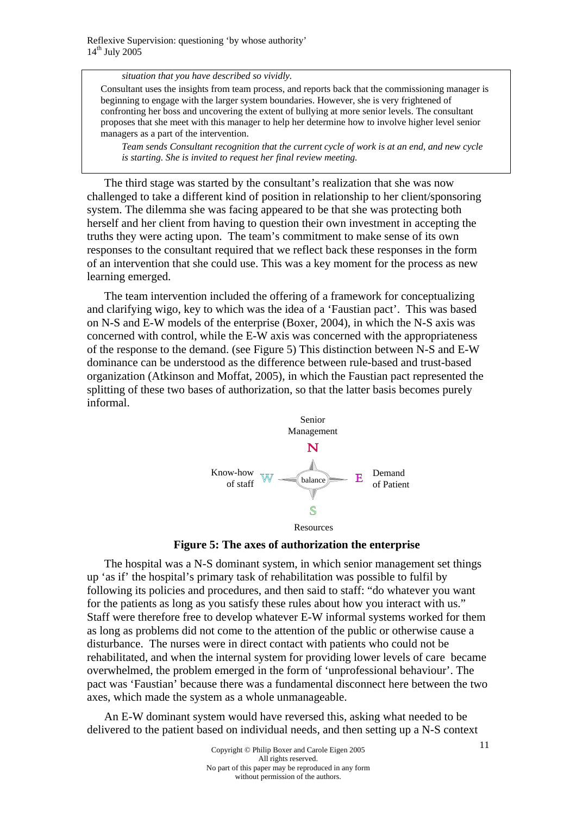*situation that you have described so vividly.* 

Consultant uses the insights from team process, and reports back that the commissioning manager is beginning to engage with the larger system boundaries. However, she is very frightened of confronting her boss and uncovering the extent of bullying at more senior levels. The consultant proposes that she meet with this manager to help her determine how to involve higher level senior managers as a part of the intervention.

*Team sends Consultant recognition that the current cycle of work is at an end, and new cycle is starting. She is invited to request her final review meeting.* 

The third stage was started by the consultant's realization that she was now challenged to take a different kind of position in relationship to her client/sponsoring system. The dilemma she was facing appeared to be that she was protecting both herself and her client from having to question their own investment in accepting the truths they were acting upon. The team's commitment to make sense of its own responses to the consultant required that we reflect back these responses in the form of an intervention that she could use. This was a key moment for the process as new learning emerged.

The team intervention included the offering of a framework for conceptualizing and clarifying wigo, key to which was the idea of a 'Faustian pact'. This was based on N-S and E-W models of the enterprise (Boxer, 2004), in which the N-S axis was concerned with control, while the E-W axis was concerned with the appropriateness of the response to the demand. (see Figure 5) This distinction between N-S and E-W dominance can be understood as the difference between rule-based and trust-based organization (Atkinson and Moffat, 2005), in which the Faustian pact represented the splitting of these two bases of authorization, so that the latter basis becomes purely informal.



**Figure 5: The axes of authorization the enterprise** 

The hospital was a N-S dominant system, in which senior management set things up 'as if' the hospital's primary task of rehabilitation was possible to fulfil by following its policies and procedures, and then said to staff: "do whatever you want for the patients as long as you satisfy these rules about how you interact with us." Staff were therefore free to develop whatever E-W informal systems worked for them as long as problems did not come to the attention of the public or otherwise cause a disturbance. The nurses were in direct contact with patients who could not be rehabilitated, and when the internal system for providing lower levels of care became overwhelmed, the problem emerged in the form of 'unprofessional behaviour'. The pact was 'Faustian' because there was a fundamental disconnect here between the two axes, which made the system as a whole unmanageable.

An E-W dominant system would have reversed this, asking what needed to be delivered to the patient based on individual needs, and then setting up a N-S context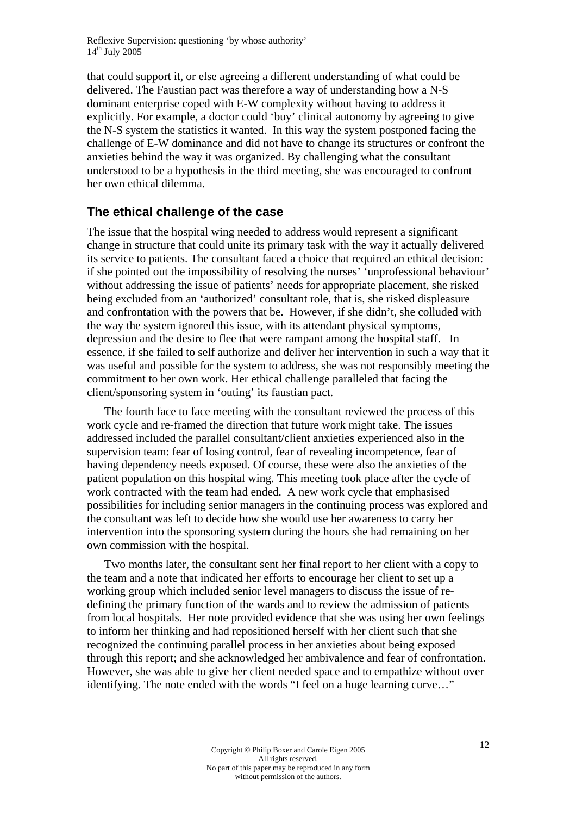that could support it, or else agreeing a different understanding of what could be delivered. The Faustian pact was therefore a way of understanding how a N-S dominant enterprise coped with E-W complexity without having to address it explicitly. For example, a doctor could 'buy' clinical autonomy by agreeing to give the N-S system the statistics it wanted. In this way the system postponed facing the challenge of E-W dominance and did not have to change its structures or confront the anxieties behind the way it was organized. By challenging what the consultant understood to be a hypothesis in the third meeting, she was encouraged to confront her own ethical dilemma.

#### **The ethical challenge of the case**

The issue that the hospital wing needed to address would represent a significant change in structure that could unite its primary task with the way it actually delivered its service to patients. The consultant faced a choice that required an ethical decision: if she pointed out the impossibility of resolving the nurses' 'unprofessional behaviour' without addressing the issue of patients' needs for appropriate placement, she risked being excluded from an 'authorized' consultant role, that is, she risked displeasure and confrontation with the powers that be. However, if she didn't, she colluded with the way the system ignored this issue, with its attendant physical symptoms, depression and the desire to flee that were rampant among the hospital staff. In essence, if she failed to self authorize and deliver her intervention in such a way that it was useful and possible for the system to address, she was not responsibly meeting the commitment to her own work. Her ethical challenge paralleled that facing the client/sponsoring system in 'outing' its faustian pact.

The fourth face to face meeting with the consultant reviewed the process of this work cycle and re-framed the direction that future work might take. The issues addressed included the parallel consultant/client anxieties experienced also in the supervision team: fear of losing control, fear of revealing incompetence, fear of having dependency needs exposed. Of course, these were also the anxieties of the patient population on this hospital wing. This meeting took place after the cycle of work contracted with the team had ended. A new work cycle that emphasised possibilities for including senior managers in the continuing process was explored and the consultant was left to decide how she would use her awareness to carry her intervention into the sponsoring system during the hours she had remaining on her own commission with the hospital.

Two months later, the consultant sent her final report to her client with a copy to the team and a note that indicated her efforts to encourage her client to set up a working group which included senior level managers to discuss the issue of redefining the primary function of the wards and to review the admission of patients from local hospitals. Her note provided evidence that she was using her own feelings to inform her thinking and had repositioned herself with her client such that she recognized the continuing parallel process in her anxieties about being exposed through this report; and she acknowledged her ambivalence and fear of confrontation. However, she was able to give her client needed space and to empathize without over identifying. The note ended with the words "I feel on a huge learning curve…"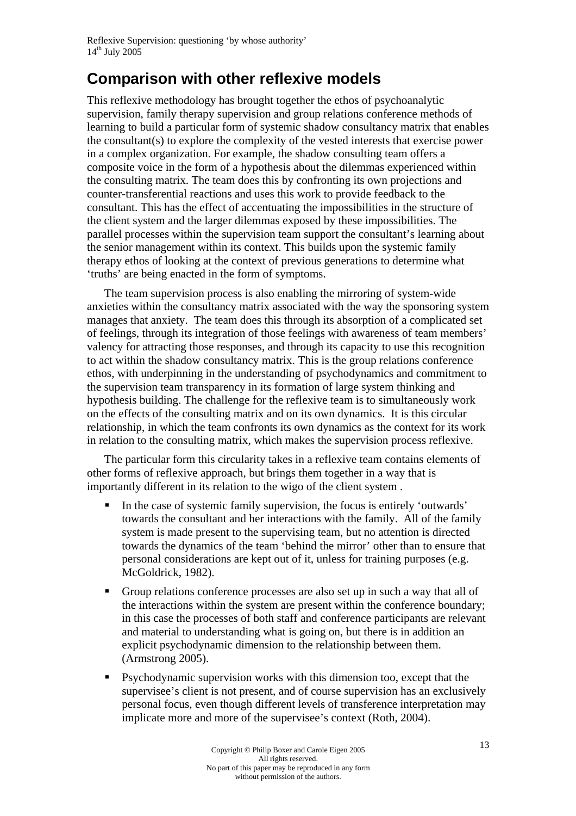### **Comparison with other reflexive models**

This reflexive methodology has brought together the ethos of psychoanalytic supervision, family therapy supervision and group relations conference methods of learning to build a particular form of systemic shadow consultancy matrix that enables the consultant(s) to explore the complexity of the vested interests that exercise power in a complex organization. For example, the shadow consulting team offers a composite voice in the form of a hypothesis about the dilemmas experienced within the consulting matrix. The team does this by confronting its own projections and counter-transferential reactions and uses this work to provide feedback to the consultant. This has the effect of accentuating the impossibilities in the structure of the client system and the larger dilemmas exposed by these impossibilities. The parallel processes within the supervision team support the consultant's learning about the senior management within its context. This builds upon the systemic family therapy ethos of looking at the context of previous generations to determine what 'truths' are being enacted in the form of symptoms.

The team supervision process is also enabling the mirroring of system-wide anxieties within the consultancy matrix associated with the way the sponsoring system manages that anxiety. The team does this through its absorption of a complicated set of feelings, through its integration of those feelings with awareness of team members' valency for attracting those responses, and through its capacity to use this recognition to act within the shadow consultancy matrix. This is the group relations conference ethos, with underpinning in the understanding of psychodynamics and commitment to the supervision team transparency in its formation of large system thinking and hypothesis building. The challenge for the reflexive team is to simultaneously work on the effects of the consulting matrix and on its own dynamics. It is this circular relationship, in which the team confronts its own dynamics as the context for its work in relation to the consulting matrix, which makes the supervision process reflexive.

The particular form this circularity takes in a reflexive team contains elements of other forms of reflexive approach, but brings them together in a way that is importantly different in its relation to the wigo of the client system .

- In the case of systemic family supervision, the focus is entirely 'outwards' towards the consultant and her interactions with the family. All of the family system is made present to the supervising team, but no attention is directed towards the dynamics of the team 'behind the mirror' other than to ensure that personal considerations are kept out of it, unless for training purposes (e.g. McGoldrick, 1982).
- Group relations conference processes are also set up in such a way that all of the interactions within the system are present within the conference boundary; in this case the processes of both staff and conference participants are relevant and material to understanding what is going on, but there is in addition an explicit psychodynamic dimension to the relationship between them. (Armstrong 2005).
- Psychodynamic supervision works with this dimension too, except that the supervisee's client is not present, and of course supervision has an exclusively personal focus, even though different levels of transference interpretation may implicate more and more of the supervisee's context (Roth, 2004).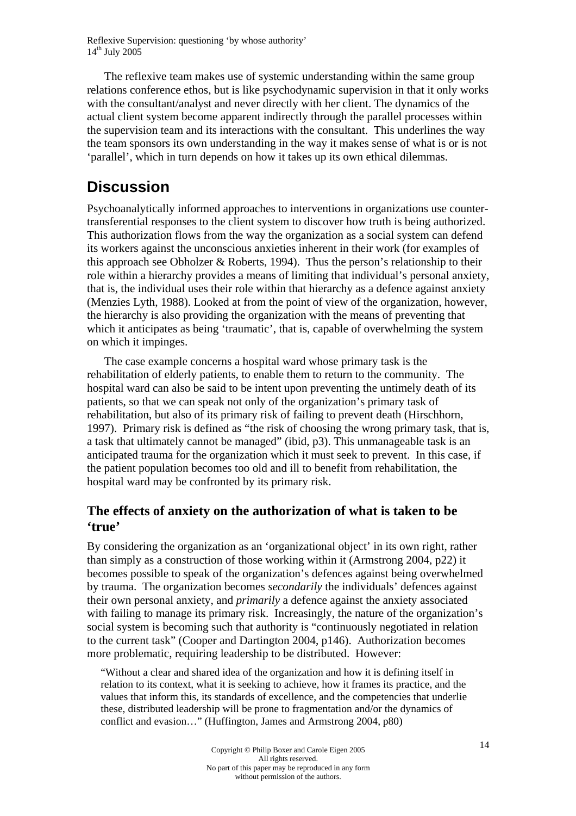The reflexive team makes use of systemic understanding within the same group relations conference ethos, but is like psychodynamic supervision in that it only works with the consultant/analyst and never directly with her client. The dynamics of the actual client system become apparent indirectly through the parallel processes within the supervision team and its interactions with the consultant. This underlines the way the team sponsors its own understanding in the way it makes sense of what is or is not 'parallel', which in turn depends on how it takes up its own ethical dilemmas.

### **Discussion**

Psychoanalytically informed approaches to interventions in organizations use countertransferential responses to the client system to discover how truth is being authorized. This authorization flows from the way the organization as a social system can defend its workers against the unconscious anxieties inherent in their work (for examples of this approach see Obholzer & Roberts, 1994). Thus the person's relationship to their role within a hierarchy provides a means of limiting that individual's personal anxiety, that is, the individual uses their role within that hierarchy as a defence against anxiety (Menzies Lyth, 1988). Looked at from the point of view of the organization, however, the hierarchy is also providing the organization with the means of preventing that which it anticipates as being 'traumatic', that is, capable of overwhelming the system on which it impinges.

The case example concerns a hospital ward whose primary task is the rehabilitation of elderly patients, to enable them to return to the community. The hospital ward can also be said to be intent upon preventing the untimely death of its patients, so that we can speak not only of the organization's primary task of rehabilitation, but also of its primary risk of failing to prevent death (Hirschhorn, 1997). Primary risk is defined as "the risk of choosing the wrong primary task, that is, a task that ultimately cannot be managed" (ibid, p3). This unmanageable task is an anticipated trauma for the organization which it must seek to prevent. In this case, if the patient population becomes too old and ill to benefit from rehabilitation, the hospital ward may be confronted by its primary risk.

#### **The effects of anxiety on the authorization of what is taken to be 'true'**

By considering the organization as an 'organizational object' in its own right, rather than simply as a construction of those working within it (Armstrong 2004, p22) it becomes possible to speak of the organization's defences against being overwhelmed by trauma. The organization becomes *secondarily* the individuals' defences against their own personal anxiety, and *primarily* a defence against the anxiety associated with failing to manage its primary risk. Increasingly, the nature of the organization's social system is becoming such that authority is "continuously negotiated in relation to the current task" (Cooper and Dartington 2004, p146). Authorization becomes more problematic, requiring leadership to be distributed. However:

"Without a clear and shared idea of the organization and how it is defining itself in relation to its context, what it is seeking to achieve, how it frames its practice, and the values that inform this, its standards of excellence, and the competencies that underlie these, distributed leadership will be prone to fragmentation and/or the dynamics of conflict and evasion…" (Huffington, James and Armstrong 2004, p80)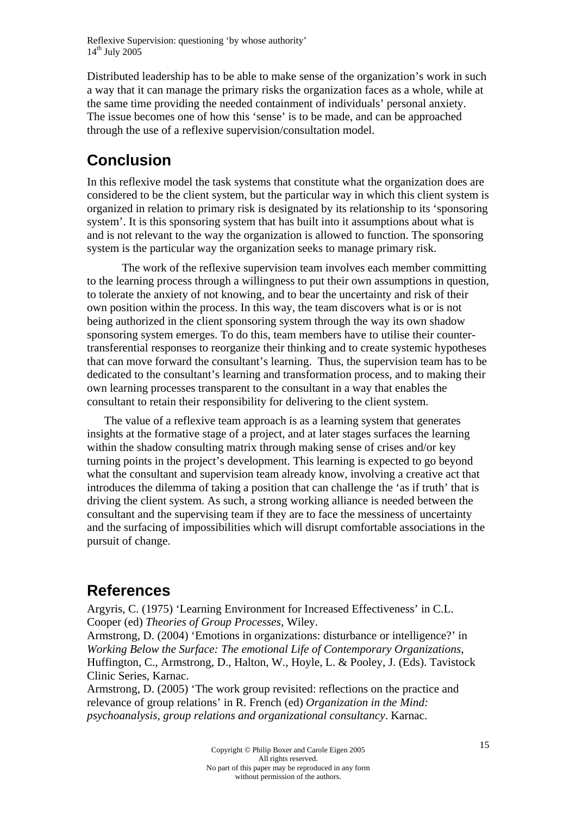Distributed leadership has to be able to make sense of the organization's work in such a way that it can manage the primary risks the organization faces as a whole, while at the same time providing the needed containment of individuals' personal anxiety. The issue becomes one of how this 'sense' is to be made, and can be approached through the use of a reflexive supervision/consultation model.

### **Conclusion**

In this reflexive model the task systems that constitute what the organization does are considered to be the client system, but the particular way in which this client system is organized in relation to primary risk is designated by its relationship to its 'sponsoring system'. It is this sponsoring system that has built into it assumptions about what is and is not relevant to the way the organization is allowed to function. The sponsoring system is the particular way the organization seeks to manage primary risk.

 The work of the reflexive supervision team involves each member committing to the learning process through a willingness to put their own assumptions in question, to tolerate the anxiety of not knowing, and to bear the uncertainty and risk of their own position within the process. In this way, the team discovers what is or is not being authorized in the client sponsoring system through the way its own shadow sponsoring system emerges. To do this, team members have to utilise their countertransferential responses to reorganize their thinking and to create systemic hypotheses that can move forward the consultant's learning. Thus, the supervision team has to be dedicated to the consultant's learning and transformation process, and to making their own learning processes transparent to the consultant in a way that enables the consultant to retain their responsibility for delivering to the client system.

The value of a reflexive team approach is as a learning system that generates insights at the formative stage of a project, and at later stages surfaces the learning within the shadow consulting matrix through making sense of crises and/or key turning points in the project's development. This learning is expected to go beyond what the consultant and supervision team already know, involving a creative act that introduces the dilemma of taking a position that can challenge the 'as if truth' that is driving the client system. As such, a strong working alliance is needed between the consultant and the supervising team if they are to face the messiness of uncertainty and the surfacing of impossibilities which will disrupt comfortable associations in the pursuit of change.

### **References**

Argyris, C. (1975) 'Learning Environment for Increased Effectiveness' in C.L. Cooper (ed) *Theories of Group Processes*, Wiley.

Armstrong, D. (2004) 'Emotions in organizations: disturbance or intelligence?' in *Working Below the Surface: The emotional Life of Contemporary Organizations*, Huffington, C., Armstrong, D., Halton, W., Hoyle, L. & Pooley, J. (Eds). Tavistock Clinic Series, Karnac.

Armstrong, D. (2005) 'The work group revisited: reflections on the practice and relevance of group relations' in R. French (ed) *Organization in the Mind: psychoanalysis, group relations and organizational consultancy*. Karnac.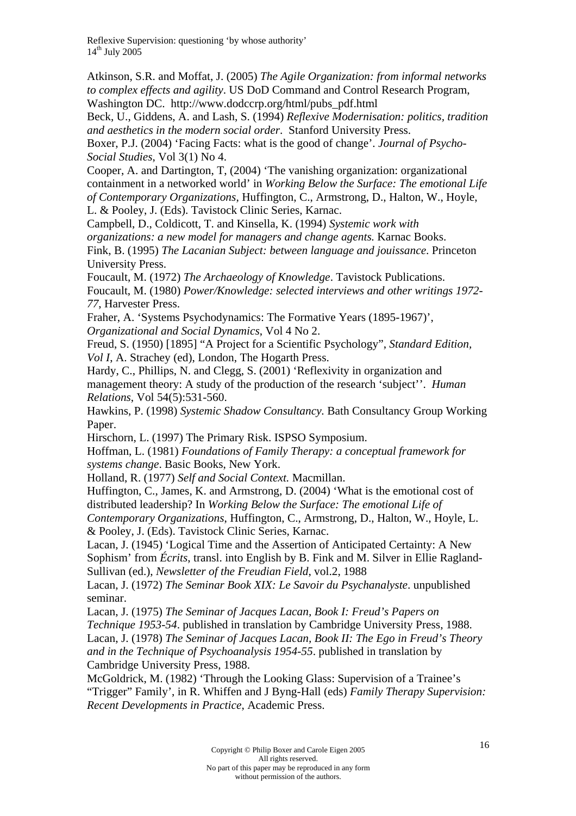Atkinson, S.R. and Moffat, J. (2005) *The Agile Organization: from informal networks to complex effects and agility*. US DoD Command and Control Research Program, Washington DC. http://www.dodccrp.org/html/pubs\_pdf.html

Beck, U., Giddens, A. and Lash, S. (1994) *Reflexive Modernisation: politics, tradition and aesthetics in the modern social order*. Stanford University Press.

Boxer, P.J. (2004) 'Facing Facts: what is the good of change'. *Journal of Psycho-Social Studies*, Vol 3(1) No 4.

Cooper, A. and Dartington, T, (2004) 'The vanishing organization: organizational containment in a networked world' in *Working Below the Surface: The emotional Life of Contemporary Organizations*, Huffington, C., Armstrong, D., Halton, W., Hoyle,

L. & Pooley, J. (Eds). Tavistock Clinic Series, Karnac.

Campbell, D., Coldicott, T. and Kinsella, K. (1994) *Systemic work with organizations: a new model for managers and change agents.* Karnac Books. Fink, B. (1995) *The Lacanian Subject: between language and jouissance*. Princeton University Press.

Foucault, M. (1972) *The Archaeology of Knowledge*. Tavistock Publications. Foucault, M. (1980) *Power/Knowledge: selected interviews and other writings 1972- 77*, Harvester Press.

Fraher, A. 'Systems Psychodynamics: The Formative Years (1895-1967)', *Organizational and Social Dynamics*, Vol 4 No 2.

Freud, S. (1950) [1895] "A Project for a Scientific Psychology", *Standard Edition, Vol I*, A. Strachey (ed), London, The Hogarth Press.

Hardy, C., Phillips, N. and Clegg, S. (2001) 'Reflexivity in organization and management theory: A study of the production of the research 'subject''. *Human Relations*, Vol 54(5):531-560.

Hawkins, P. (1998) *Systemic Shadow Consultancy.* Bath Consultancy Group Working Paper.

Hirschorn, L. (1997) The Primary Risk. ISPSO Symposium.

Hoffman, L. (1981) *Foundations of Family Therapy: a conceptual framework for systems change*. Basic Books, New York.

Holland, R. (1977) *Self and Social Context.* Macmillan.

Huffington, C., James, K. and Armstrong, D. (2004) 'What is the emotional cost of distributed leadership? In *Working Below the Surface: The emotional Life of* 

*Contemporary Organizations*, Huffington, C., Armstrong, D., Halton, W., Hoyle, L. & Pooley, J. (Eds). Tavistock Clinic Series, Karnac.

Lacan, J. (1945) 'Logical Time and the Assertion of Anticipated Certainty: A New Sophism' from *Écrits*, transl. into English by B. Fink and M. Silver in Ellie Ragland-Sullivan (ed.), *Newsletter of the Freudian Field*, vol.2, 1988

Lacan, J. (1972) *The Seminar Book XIX: Le Savoir du Psychanalyste*. unpublished seminar.

Lacan, J. (1975) *The Seminar of Jacques Lacan, Book I: Freud's Papers on Technique 1953-54*. published in translation by Cambridge University Press, 1988. Lacan, J. (1978) *The Seminar of Jacques Lacan, Book II: The Ego in Freud's Theory and in the Technique of Psychoanalysis 1954-55*. published in translation by

Cambridge University Press, 1988.

McGoldrick, M. (1982) 'Through the Looking Glass: Supervision of a Trainee's "Trigger" Family', in R. Whiffen and J Byng-Hall (eds) *Family Therapy Supervision: Recent Developments in Practice*, Academic Press.